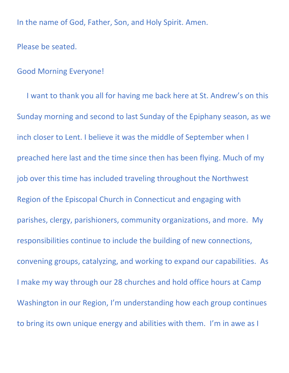In the name of God, Father, Son, and Holy Spirit. Amen.

Please be seated.

## Good Morning Everyone!

 I want to thank you all for having me back here at St. Andrew's on this Sunday morning and second to last Sunday of the Epiphany season, as we inch closer to Lent. I believe it was the middle of September when I preached here last and the time since then has been flying. Much of my job over this time has included traveling throughout the Northwest Region of the Episcopal Church in Connecticut and engaging with parishes, clergy, parishioners, community organizations, and more. My responsibilities continue to include the building of new connections, convening groups, catalyzing, and working to expand our capabilities. As I make my way through our 28 churches and hold office hours at Camp Washington in our Region, I'm understanding how each group continues to bring its own unique energy and abilities with them. I'm in awe as I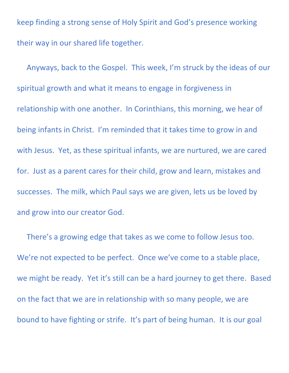keep finding a strong sense of Holy Spirit and God's presence working their way in our shared life together.

 Anyways, back to the Gospel. This week, I'm struck by the ideas of our spiritual growth and what it means to engage in forgiveness in relationship with one another. In Corinthians, this morning, we hear of being infants in Christ. I'm reminded that it takes time to grow in and with Jesus. Yet, as these spiritual infants, we are nurtured, we are cared for. Just as a parent cares for their child, grow and learn, mistakes and successes. The milk, which Paul says we are given, lets us be loved by and grow into our creator God.

 There's a growing edge that takes as we come to follow Jesus too. We're not expected to be perfect. Once we've come to a stable place, we might be ready. Yet it's still can be a hard journey to get there. Based on the fact that we are in relationship with so many people, we are bound to have fighting or strife. It's part of being human. It is our goal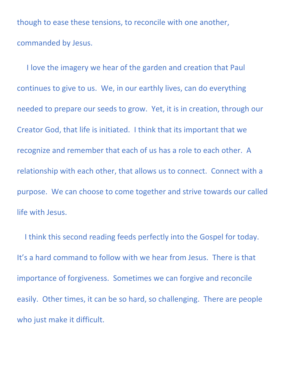though to ease these tensions, to reconcile with one another, commanded by Jesus.

 I love the imagery we hear of the garden and creation that Paul continues to give to us. We, in our earthly lives, can do everything needed to prepare our seeds to grow. Yet, it is in creation, through our Creator God, that life is initiated. I think that its important that we recognize and remember that each of us has a role to each other. A relationship with each other, that allows us to connect. Connect with a purpose. We can choose to come together and strive towards our called life with Jesus.

 I think this second reading feeds perfectly into the Gospel for today. It's a hard command to follow with we hear from Jesus. There is that importance of forgiveness. Sometimes we can forgive and reconcile easily. Other times, it can be so hard, so challenging. There are people who just make it difficult.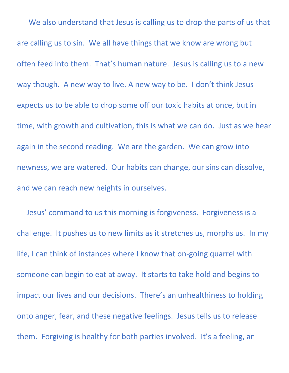We also understand that Jesus is calling us to drop the parts of us that are calling us to sin. We all have things that we know are wrong but often feed into them. That's human nature. Jesus is calling us to a new way though. A new way to live. A new way to be. I don't think Jesus expects us to be able to drop some off our toxic habits at once, but in time, with growth and cultivation, this is what we can do. Just as we hear again in the second reading. We are the garden. We can grow into newness, we are watered. Our habits can change, our sins can dissolve, and we can reach new heights in ourselves.

 Jesus' command to us this morning is forgiveness. Forgiveness is a challenge. It pushes us to new limits as it stretches us, morphs us. In my life, I can think of instances where I know that on-going quarrel with someone can begin to eat at away. It starts to take hold and begins to impact our lives and our decisions. There's an unhealthiness to holding onto anger, fear, and these negative feelings. Jesus tells us to release them. Forgiving is healthy for both parties involved. It's a feeling, an